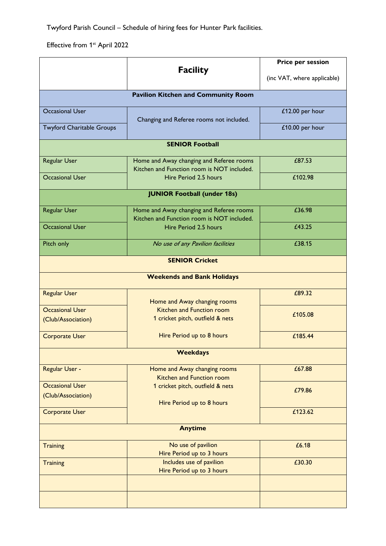Twyford Parish Council – Schedule of hiring fees for Hunter Park facilities.

Effective from 1<sup>st</sup> April 2022

|                                            |                                                                                        | Price per session |  |  |
|--------------------------------------------|----------------------------------------------------------------------------------------|-------------------|--|--|
| <b>Facility</b>                            | (inc VAT, where applicable)                                                            |                   |  |  |
| <b>Pavilion Kitchen and Community Room</b> |                                                                                        |                   |  |  |
| <b>Occasional User</b>                     | Changing and Referee rooms not included.                                               | £12.00 per hour   |  |  |
| <b>Twyford Charitable Groups</b>           |                                                                                        | £10.00 per hour   |  |  |
|                                            | <b>SENIOR Football</b>                                                                 |                   |  |  |
| Regular User                               | Home and Away changing and Referee rooms                                               | £87.53            |  |  |
| <b>Occasional User</b>                     | Kitchen and Function room is NOT included.<br>Hire Period 2.5 hours                    | £102.98           |  |  |
|                                            | <b>JUNIOR Football (under 18s)</b>                                                     |                   |  |  |
|                                            |                                                                                        |                   |  |  |
| Regular User                               | Home and Away changing and Referee rooms<br>Kitchen and Function room is NOT included. | £36.98            |  |  |
| <b>Occasional User</b>                     | Hire Period 2.5 hours                                                                  | £43.25            |  |  |
| Pitch only                                 | No use of any Pavilion facilities                                                      | £38.15            |  |  |
|                                            | <b>SENIOR Cricket</b>                                                                  |                   |  |  |
|                                            | <b>Weekends and Bank Holidays</b>                                                      |                   |  |  |
| <b>Regular User</b>                        |                                                                                        | £89.32            |  |  |
| <b>Occasional User</b>                     | Home and Away changing rooms<br>Kitchen and Function room                              |                   |  |  |
| (Club/Association)                         | 1 cricket pitch, outfield & nets                                                       | £105.08           |  |  |
| <b>Corporate User</b>                      | Hire Period up to 8 hours                                                              | £185.44           |  |  |
|                                            |                                                                                        |                   |  |  |
| <b>Weekdays</b>                            |                                                                                        |                   |  |  |
| Regular User -                             | Home and Away changing rooms<br>Kitchen and Function room                              | £67.88            |  |  |
| <b>Occasional User</b>                     | 1 cricket pitch, outfield & nets                                                       | £79.86            |  |  |
| (Club/Association)                         | Hire Period up to 8 hours                                                              |                   |  |  |
| <b>Corporate User</b>                      |                                                                                        | £123.62           |  |  |
|                                            | <b>Anytime</b>                                                                         |                   |  |  |
| <b>Training</b>                            | No use of pavilion<br>Hire Period up to 3 hours                                        | £6.18             |  |  |
| <b>Training</b>                            | Includes use of pavilion                                                               | £30.30            |  |  |
|                                            | Hire Period up to 3 hours                                                              |                   |  |  |
|                                            |                                                                                        |                   |  |  |
|                                            |                                                                                        |                   |  |  |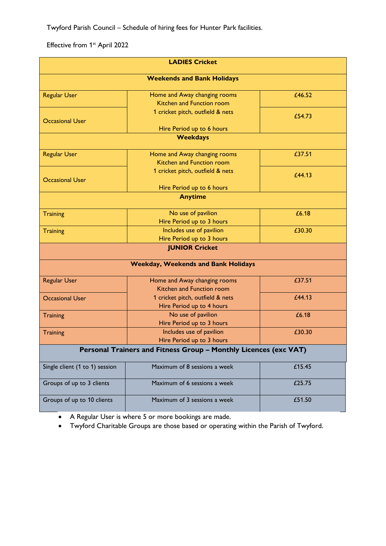Twyford Parish Council – Schedule of hiring fees for Hunter Park facilities.

Effective from 1<sup>st</sup> April 2022

| <b>LADIES Cricket</b><br><b>Weekends and Bank Holidays</b> |                                                                  |        |
|------------------------------------------------------------|------------------------------------------------------------------|--------|
|                                                            |                                                                  |        |
| <b>Occasional User</b>                                     | 1 cricket pitch, outfield & nets                                 | £54.73 |
|                                                            | Hire Period up to 6 hours                                        |        |
|                                                            | <b>Weekdays</b>                                                  |        |
| <b>Regular User</b>                                        | Home and Away changing rooms<br>Kitchen and Function room        | £37.51 |
| <b>Occasional User</b>                                     | 1 cricket pitch, outfield & nets                                 | £44.13 |
|                                                            | Hire Period up to 6 hours                                        |        |
|                                                            | <b>Anytime</b>                                                   |        |
| <b>Training</b>                                            | No use of pavilion<br>Hire Period up to 3 hours                  | £6.18  |
| <b>Training</b>                                            | Includes use of pavilion<br>Hire Period up to 3 hours            | £30.30 |
|                                                            | <b>JUNIOR Cricket</b>                                            |        |
|                                                            |                                                                  |        |
|                                                            | <b>Weekday, Weekends and Bank Holidays</b>                       |        |
| <b>Regular User</b>                                        | Home and Away changing rooms<br>Kitchen and Function room        | £37.51 |
| <b>Occasional User</b>                                     | 1 cricket pitch, outfield & nets<br>Hire Period up to 4 hours    | £44.13 |
| Training                                                   | No use of pavilion<br>Hire Period up to 3 hours                  | £6.18  |
| Training                                                   | Includes use of pavilion<br>Hire Period up to 3 hours            | £30.30 |
|                                                            | Personal Trainers and Fitness Group - Monthly Licences (exc VAT) |        |
| Single client (1 to 1) session                             | Maximum of 8 sessions a week                                     | £15.45 |
| Groups of up to 3 clients                                  | Maximum of 6 sessions a week                                     | £25.75 |
| Groups of up to 10 clients                                 | Maximum of 3 sessions a week                                     | £51.50 |

• A Regular User is where 5 or more bookings are made.

• Twyford Charitable Groups are those based or operating within the Parish of Twyford.